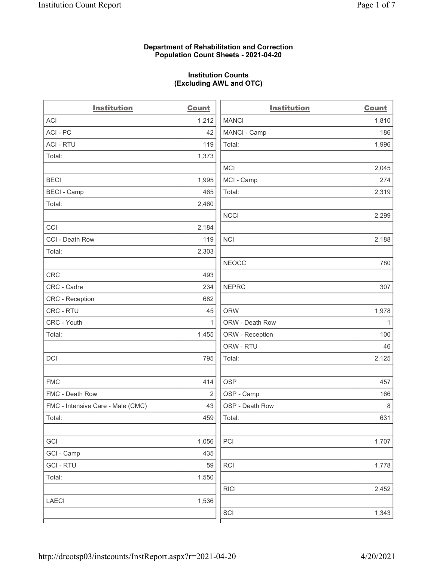### Department of Rehabilitation and Correction Population Count Sheets - 2021-04-20

### Institution Counts (Excluding AWL and OTC)

 $\overline{a}$ 

| <b>Institution</b>                | <b>Count</b>   | <b>Institution</b> | <b>Count</b> |
|-----------------------------------|----------------|--------------------|--------------|
| ACI                               | 1,212          | <b>MANCI</b>       | 1,810        |
| ACI - PC                          | 42             | MANCI - Camp       | 186          |
| <b>ACI - RTU</b>                  | 119            | Total:             | 1,996        |
| Total:                            | 1,373          |                    |              |
|                                   |                | <b>MCI</b>         | 2,045        |
| <b>BECI</b>                       | 1,995          | MCI - Camp         | 274          |
| <b>BECI - Camp</b>                | 465            | Total:             | 2,319        |
| Total:                            | 2,460          |                    |              |
|                                   |                | <b>NCCI</b>        | 2,299        |
| CCI                               | 2,184          |                    |              |
| CCI - Death Row                   | 119            | <b>NCI</b>         | 2,188        |
| Total:                            | 2,303          |                    |              |
|                                   |                | <b>NEOCC</b>       | 780          |
| <b>CRC</b>                        | 493            |                    |              |
| CRC - Cadre                       | 234            | <b>NEPRC</b>       | 307          |
| CRC - Reception                   | 682            |                    |              |
| CRC - RTU                         | 45             | <b>ORW</b>         | 1,978        |
| CRC - Youth                       | $\mathbf{1}$   | ORW - Death Row    | $\mathbf{1}$ |
| Total:                            | 1,455          | ORW - Reception    | 100          |
|                                   |                | ORW - RTU          | 46           |
| DCI                               | 795            | Total:             | 2,125        |
| <b>FMC</b>                        | 414            | <b>OSP</b>         | 457          |
| FMC - Death Row                   | $\overline{2}$ | OSP - Camp         | 166          |
| FMC - Intensive Care - Male (CMC) | 43             | OSP - Death Row    | $\,8\,$      |
| Total:                            | 459            | Total:             | 631          |
| GCI                               | 1,056          | PCI                | 1,707        |
| GCI - Camp                        | 435            |                    |              |
| <b>GCI-RTU</b>                    | 59             | RCI                | 1,778        |
| Total:                            | 1,550          |                    |              |
|                                   |                | <b>RICI</b>        | 2,452        |
| <b>LAECI</b>                      | 1,536          |                    |              |
|                                   |                | SCI                | 1,343        |
|                                   |                |                    |              |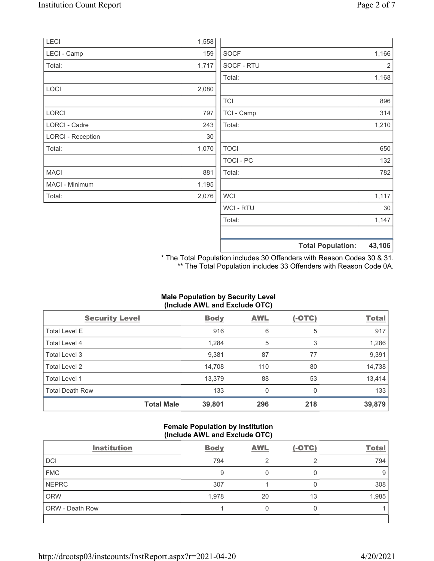|       |                  | 43,106                   |
|-------|------------------|--------------------------|
|       |                  |                          |
|       | Total:           | 1,147                    |
|       | WCI - RTU        | $30\,$                   |
| 2,076 | <b>WCI</b>       | 1,117                    |
| 1,195 |                  |                          |
| 881   | Total:           | 782                      |
|       | <b>TOCI - PC</b> | 132                      |
| 1,070 | <b>TOCI</b>      | 650                      |
| 30    |                  |                          |
| 243   | Total:           | 1,210                    |
| 797   | TCI - Camp       | 314                      |
|       | <b>TCI</b>       | 896                      |
| 2,080 |                  |                          |
|       | Total:           | 1,168                    |
| 1,717 | SOCF - RTU       | 2                        |
| 159   | <b>SOCF</b>      | 1,166                    |
| 1,558 |                  |                          |
|       |                  | <b>Total Population:</b> |

\* The Total Population includes 30 Offenders with Reason Codes 30 & 31. \*\* The Total Population includes 33 Offenders with Reason Code 0A.

## Male Population by Security Level (Include AWL and Exclude OTC)

| <b>Security Level</b>  |                   | <b>Body</b> | <b>AWL</b> | $(-OTC)$ | <b>Total</b> |
|------------------------|-------------------|-------------|------------|----------|--------------|
| <b>Total Level E</b>   |                   | 916         | 6          | 5        | 917          |
| Total Level 4          |                   | 1,284       | 5          | 3        | 1,286        |
| Total Level 3          |                   | 9,381       | 87         | 77       | 9,391        |
| Total Level 2          |                   | 14,708      | 110        | 80       | 14,738       |
| Total Level 1          |                   | 13,379      | 88         | 53       | 13,414       |
| <b>Total Death Row</b> |                   | 133         | 0          | $\Omega$ | 133          |
|                        | <b>Total Male</b> | 39,801      | 296        | 218      | 39,879       |

#### Female Population by Institution (Include AWL and Exclude OTC)

| <b>Institution</b> | <b>Body</b> | <b>AWL</b> | $(-OTC)$ | <b>Total</b> |
|--------------------|-------------|------------|----------|--------------|
| <b>DCI</b>         | 794         | ◠          | ◠        | 794          |
| <b>FMC</b>         | 9           |            |          | 9            |
| <b>NEPRC</b>       | 307         |            |          | 308          |
| <b>ORW</b>         | 1,978       | 20         | 13       | 1,985        |
| ORW - Death Row    |             |            |          |              |
|                    |             |            |          |              |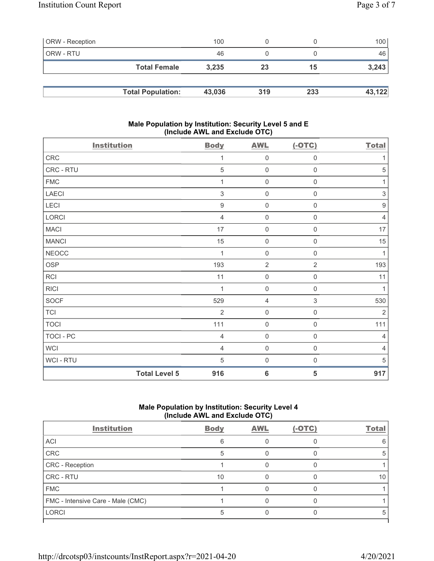| <b>ORW</b> - Reception |                          | 100    |     |     | 100 <sup>1</sup> |
|------------------------|--------------------------|--------|-----|-----|------------------|
| ORW - RTU              |                          | 46     |     |     | 46               |
|                        | <b>Total Female</b>      | 3,235  | 23  | 15  | 3,243            |
|                        |                          |        |     |     |                  |
|                        | <b>Total Population:</b> | 43,036 | 319 | 233 | 43,122           |

### Male Population by Institution: Security Level 5 and E (Include AWL and Exclude OTC)

| <b>Institution</b> |                      | <b>Body</b>      | <b>AWL</b>          | $(-OTC)$            | <b>Total</b>              |
|--------------------|----------------------|------------------|---------------------|---------------------|---------------------------|
| ${\sf CRC}$        |                      | 1                | $\mathbf 0$         | $\boldsymbol{0}$    | 1                         |
| CRC - RTU          |                      | 5                | $\mathbf 0$         | $\mathsf{O}\xspace$ | 5                         |
| <b>FMC</b>         |                      | 1                | $\mathbf 0$         | $\boldsymbol{0}$    | 1                         |
| LAECI              |                      | $\sqrt{3}$       | $\mathsf{O}\xspace$ | $\boldsymbol{0}$    | $\ensuremath{\mathsf{3}}$ |
| LECI               |                      | $\boldsymbol{9}$ | $\mathbf 0$         | $\mathsf 0$         | $\boldsymbol{9}$          |
| LORCI              |                      | $\overline{4}$   | $\mathbf 0$         | $\mathsf{O}\xspace$ | $\overline{4}$            |
| <b>MACI</b>        |                      | 17               | $\mathbf 0$         | $\boldsymbol{0}$    | 17                        |
| <b>MANCI</b>       |                      | 15               | $\mathbf 0$         | $\mathsf 0$         | 15                        |
| <b>NEOCC</b>       |                      | 1                | $\mathbf 0$         | $\mathsf{O}\xspace$ | $\mathbf{1}$              |
| OSP                |                      | 193              | $\sqrt{2}$          | $\overline{2}$      | 193                       |
| <b>RCI</b>         |                      | 11               | $\mathbf 0$         | $\mathsf 0$         | 11                        |
| <b>RICI</b>        |                      | 1                | $\mathbf 0$         | $\mathbf 0$         | $\mathbf{1}$              |
| SOCF               |                      | 529              | $\overline{4}$      | $\mathsf 3$         | 530                       |
| <b>TCI</b>         |                      | $\overline{2}$   | $\mathsf{O}\xspace$ | $\mathsf{O}\xspace$ | $\overline{2}$            |
| <b>TOCI</b>        |                      | 111              | $\mathbf 0$         | $\mathsf{O}\xspace$ | 111                       |
| TOCI - PC          |                      | $\overline{4}$   | $\mathsf 0$         | $\mathsf 0$         | $\overline{4}$            |
| <b>WCI</b>         |                      | $\overline{4}$   | $\mathsf{O}\xspace$ | $\mathsf 0$         | $\overline{4}$            |
| WCI - RTU          |                      | 5                | $\mathbf 0$         | $\mathsf{O}\xspace$ | 5                         |
|                    | <b>Total Level 5</b> | 916              | $6\phantom{1}6$     | 5                   | 917                       |

# Male Population by Institution: Security Level 4 (Include AWL and Exclude OTC)

| <b>Institution</b>                | <b>Body</b> | <b>AWL</b> | $(-OTC)$ | <b>Total</b> |
|-----------------------------------|-------------|------------|----------|--------------|
| ACI                               |             |            |          |              |
| CRC                               |             |            |          |              |
| CRC - Reception                   |             |            |          |              |
| CRC - RTU                         | 10          |            |          | 10           |
| <b>FMC</b>                        |             |            |          |              |
| FMC - Intensive Care - Male (CMC) |             |            |          |              |
| <b>LORCI</b>                      |             |            |          |              |
|                                   |             |            |          |              |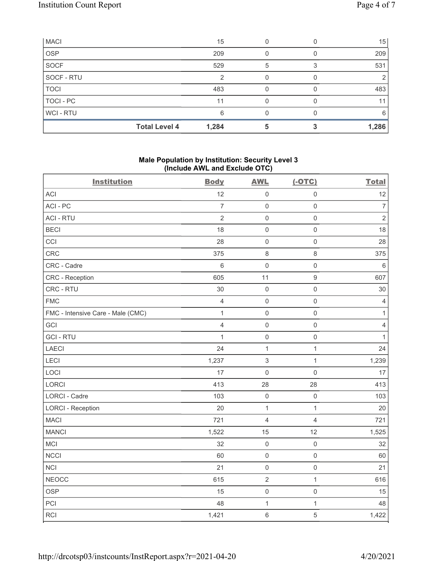| <b>MACI</b>      |                      | 15    |   | 15    |
|------------------|----------------------|-------|---|-------|
| <b>OSP</b>       |                      | 209   |   | 209   |
| <b>SOCF</b>      |                      | 529   | 5 | 531   |
| SOCF - RTU       |                      | ⌒     |   |       |
| <b>TOCI</b>      |                      | 483   |   | 483   |
| <b>TOCI - PC</b> |                      | 11    |   | 11    |
| <b>WCI-RTU</b>   |                      | 6     |   | 6     |
|                  | <b>Total Level 4</b> | 1,284 |   | 1,286 |

## Male Population by Institution: Security Level 3 (Include AWL and Exclude OTC)

| <b>Institution</b>                | <b>Body</b>    | <b>AWL</b>     | $(-OTC)$            | <b>Total</b>   |
|-----------------------------------|----------------|----------------|---------------------|----------------|
| <b>ACI</b>                        | 12             | $\mathbf 0$    | $\mathsf{O}\xspace$ | 12             |
| ACI-PC                            | $\overline{7}$ | $\mathbf 0$    | $\mathsf{O}\xspace$ | $\overline{7}$ |
| <b>ACI - RTU</b>                  | $\overline{2}$ | $\mathbf 0$    | $\mathsf{O}\xspace$ | $\overline{2}$ |
| <b>BECI</b>                       | 18             | $\mathbf 0$    | $\mathsf 0$         | 18             |
| CCI                               | 28             | $\mathbf 0$    | $\mathsf{O}\xspace$ | 28             |
| CRC                               | 375            | $\,8\,$        | $\,8\,$             | 375            |
| CRC - Cadre                       | $6\,$          | $\mathbf 0$    | $\mathsf 0$         | $\,6\,$        |
| CRC - Reception                   | 605            | 11             | $\boldsymbol{9}$    | 607            |
| CRC - RTU                         | 30             | $\mathbf 0$    | $\mathsf 0$         | 30             |
| <b>FMC</b>                        | $\overline{4}$ | $\mathbf 0$    | $\mathsf{O}\xspace$ | $\overline{4}$ |
| FMC - Intensive Care - Male (CMC) | $\mathbf{1}$   | $\mathbf 0$    | $\mathsf{O}\xspace$ | 1              |
| GCI                               | $\overline{4}$ | $\mathbf 0$    | $\mathsf{O}\xspace$ | $\sqrt{4}$     |
| <b>GCI-RTU</b>                    | $\mathbf{1}$   | $\mathbf 0$    | $\mathsf 0$         | $\mathbf{1}$   |
| <b>LAECI</b>                      | 24             | $\mathbf{1}$   | $\mathbf{1}$        | 24             |
| LECI                              | 1,237          | $\,$ 3 $\,$    | $\mathbf{1}$        | 1,239          |
| LOCI                              | 17             | $\mathbf 0$    | $\mathbf 0$         | 17             |
| LORCI                             | 413            | 28             | 28                  | 413            |
| <b>LORCI - Cadre</b>              | 103            | $\mathbf 0$    | $\mathsf 0$         | 103            |
| <b>LORCI - Reception</b>          | 20             | $\mathbf{1}$   | $\mathbf{1}$        | 20             |
| <b>MACI</b>                       | 721            | $\overline{4}$ | $\overline{4}$      | 721            |
| <b>MANCI</b>                      | 1,522          | 15             | 12                  | 1,525          |
| MCI                               | 32             | $\mathbf 0$    | $\mathsf{O}\xspace$ | 32             |
| <b>NCCI</b>                       | 60             | $\mathbf 0$    | $\mathsf{O}\xspace$ | 60             |
| <b>NCI</b>                        | 21             | $\mathbf 0$    | $\mathsf{O}\xspace$ | 21             |
| <b>NEOCC</b>                      | 615            | $\sqrt{2}$     | $\mathbf{1}$        | 616            |
| <b>OSP</b>                        | 15             | $\mathbf 0$    | $\mathsf{O}\xspace$ | 15             |
| PCI                               | 48             | $\mathbf 1$    | $\mathbf{1}$        | 48             |
| RCI                               | 1,421          | $\,6\,$        | $\sqrt{5}$          | 1,422          |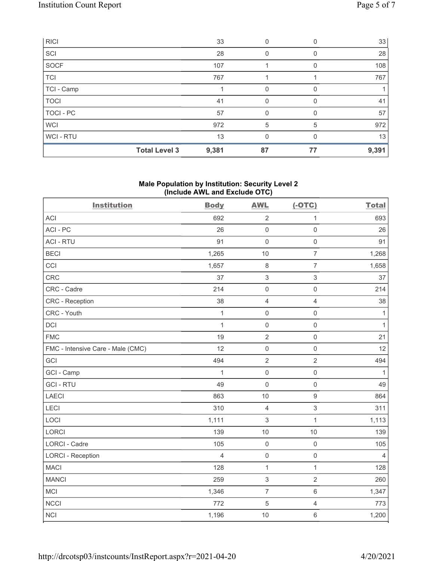|                  | <b>Total Level 3</b> | 9,381 | 87       | 77 | 9,391 |
|------------------|----------------------|-------|----------|----|-------|
| WCI-RTU          |                      | 13    | 0        | 0  | 13    |
| <b>WCI</b>       |                      | 972   | 5        | 5  | 972   |
| <b>TOCI - PC</b> |                      | 57    | 0        |    | 57    |
| <b>TOCI</b>      |                      | 41    | $\Omega$ | 0  | 41    |
| TCI - Camp       |                      |       | 0        |    |       |
| <b>TCI</b>       |                      | 767   |          |    | 767   |
| SOCF             |                      | 107   |          |    | 108   |
| SCI              |                      | 28    | 0        | 0  | 28    |
| <b>RICI</b>      |                      | 33    | 0        |    | 33    |

### Male Population by Institution: Security Level 2 (Include AWL and Exclude OTC)

| <b>Institution</b>                | <b>Body</b>  | <b>AWL</b>                | $(-OTC)$            | <b>Total</b>   |
|-----------------------------------|--------------|---------------------------|---------------------|----------------|
| <b>ACI</b>                        | 692          | $\sqrt{2}$                | $\mathbf 1$         | 693            |
| ACI-PC                            | 26           | $\mathbf 0$               | $\mathsf{O}\xspace$ | 26             |
| <b>ACI - RTU</b>                  | 91           | $\mathbf 0$               | $\mathsf{O}\xspace$ | 91             |
| <b>BECI</b>                       | 1,265        | 10                        | $\overline{7}$      | 1,268          |
| CCI                               | 1,657        | $\,8\,$                   | $\overline{7}$      | 1,658          |
| CRC                               | 37           | $\sqrt{3}$                | $\sqrt{3}$          | 37             |
| CRC - Cadre                       | 214          | $\mathsf{O}\xspace$       | $\mathsf 0$         | 214            |
| CRC - Reception                   | 38           | $\overline{4}$            | $\overline{4}$      | 38             |
| CRC - Youth                       | $\mathbf{1}$ | $\mathsf{O}\xspace$       | $\mathsf{O}\xspace$ | $\mathbf{1}$   |
| DCI                               | $\mathbf{1}$ | $\mathbf 0$               | $\mathsf{O}\xspace$ | $\mathbf{1}$   |
| <b>FMC</b>                        | 19           | $\overline{2}$            | $\mathsf 0$         | 21             |
| FMC - Intensive Care - Male (CMC) | 12           | $\mathsf{O}\xspace$       | $\mathsf 0$         | 12             |
| GCI                               | 494          | $\overline{2}$            | $\overline{2}$      | 494            |
| GCI - Camp                        | $\mathbf{1}$ | $\mathbf 0$               | $\mathsf 0$         | $\mathbf{1}$   |
| <b>GCI-RTU</b>                    | 49           | $\mathsf{O}\xspace$       | $\mathsf{O}\xspace$ | 49             |
| <b>LAECI</b>                      | 863          | 10                        | $\boldsymbol{9}$    | 864            |
| LECI                              | 310          | $\overline{4}$            | $\sqrt{3}$          | 311            |
| LOCI                              | 1,111        | $\ensuremath{\mathsf{3}}$ | $\mathbf 1$         | 1,113          |
| LORCI                             | 139          | 10                        | 10                  | 139            |
| <b>LORCI - Cadre</b>              | 105          | $\mathbf 0$               | $\mathbf 0$         | 105            |
| <b>LORCI - Reception</b>          | 4            | $\mathsf{O}\xspace$       | $\mathsf 0$         | $\overline{4}$ |
| <b>MACI</b>                       | 128          | $\mathbf{1}$              | $\mathbf{1}$        | 128            |
| <b>MANCI</b>                      | 259          | $\sqrt{3}$                | $\sqrt{2}$          | 260            |
| MCI                               | 1,346        | $\overline{7}$            | $\,6\,$             | 1,347          |
| <b>NCCI</b>                       | 772          | 5                         | $\overline{4}$      | 773            |
| <b>NCI</b>                        | 1,196        | 10                        | $\,6\,$             | 1,200          |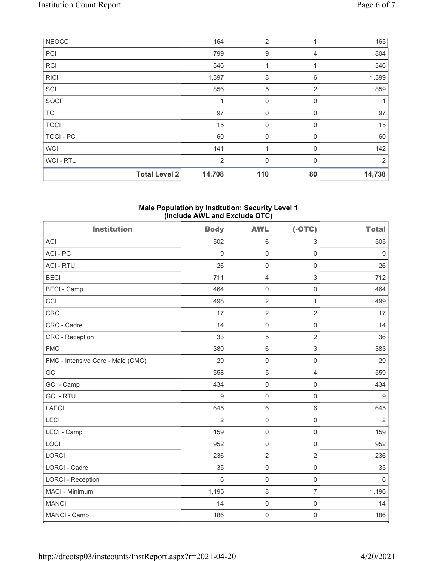|              | <b>Total Level 2</b> | 14,708         | 110            | 80             | 14,738 |
|--------------|----------------------|----------------|----------------|----------------|--------|
| WCI - RTU    |                      | $\overline{2}$ | $\mathbf{0}$   | $\Omega$       | 2      |
| <b>WCI</b>   |                      | 141            | 1              | 0              | 142    |
| TOCI - PC    |                      | 60             | $\mathbf 0$    | 0              | 60     |
| <b>TOCI</b>  |                      | 15             | $\mathbf 0$    | $\Omega$       | 15     |
| <b>TCI</b>   |                      | 97             | $\mathbf 0$    | 0              | 97     |
| <b>SOCF</b>  |                      | 1              | $\mathbf 0$    | 0              |        |
| SCI          |                      | 856            | 5              | 2              | 859    |
| <b>RICI</b>  |                      | 1,397          | 8              | 6              | 1,399  |
| <b>RCI</b>   |                      | 346            | 1              |                | 346    |
| PCI          |                      | 799            | 9              | $\overline{4}$ | 804    |
| <b>NEOCC</b> |                      | 164            | $\overline{2}$ |                | 165    |

#### Male Population by Institution: Security Level 1 (Include AWL and Exclude OTC)

| <b>Institution</b>                | <b>Body</b>      | <b>AWL</b>          | $(-OTC)$                  | <b>Total</b>     |
|-----------------------------------|------------------|---------------------|---------------------------|------------------|
| <b>ACI</b>                        | 502              | $\,6\,$             | $\ensuremath{\mathsf{3}}$ | 505              |
| ACI-PC                            | 9                | $\mathsf{O}\xspace$ | $\mathsf 0$               | $\boldsymbol{9}$ |
| <b>ACI - RTU</b>                  | 26               | $\mathsf{O}\xspace$ | $\mathsf 0$               | 26               |
| <b>BECI</b>                       | 711              | $\overline{4}$      | $\mathfrak{S}$            | 712              |
| <b>BECI - Camp</b>                | 464              | $\mathsf{O}\xspace$ | $\mathsf{O}\xspace$       | 464              |
| CCI                               | 498              | $\sqrt{2}$          | $\mathbf{1}$              | 499              |
| <b>CRC</b>                        | 17               | $\overline{2}$      | $\overline{2}$            | 17               |
| CRC - Cadre                       | 14               | $\mathsf{O}\xspace$ | $\mathbf 0$               | 14               |
| <b>CRC</b> - Reception            | 33               | $\sqrt{5}$          | $\overline{2}$            | 36               |
| <b>FMC</b>                        | 380              | $\,6\,$             | $\mathfrak{S}$            | 383              |
| FMC - Intensive Care - Male (CMC) | 29               | $\mathbf 0$         | $\mathbf 0$               | 29               |
| <b>GCI</b>                        | 558              | 5                   | $\overline{4}$            | 559              |
| GCI - Camp                        | 434              | $\mathsf 0$         | $\mathsf 0$               | 434              |
| <b>GCI-RTU</b>                    | $\boldsymbol{9}$ | $\mathsf 0$         | $\mathsf 0$               | $\boldsymbol{9}$ |
| <b>LAECI</b>                      | 645              | $6\phantom{1}$      | $\,6\,$                   | 645              |
| LECI                              | $\overline{2}$   | $\mathsf{O}\xspace$ | $\mathsf 0$               | $\overline{2}$   |
| LECI - Camp                       | 159              | $\mathbf 0$         | $\mathbf 0$               | 159              |
| LOCI                              | 952              | $\mathsf{O}\xspace$ | $\mathsf 0$               | 952              |
| <b>LORCI</b>                      | 236              | $\overline{2}$      | $\overline{2}$            | 236              |
| <b>LORCI - Cadre</b>              | 35               | $\mathbf 0$         | $\mathsf 0$               | 35               |
| <b>LORCI - Reception</b>          | $6\phantom{1}6$  | $\mathbf 0$         | $\mathsf 0$               | 6                |
| MACI - Minimum                    | 1,195            | $\,8\,$             | $\overline{7}$            | 1,196            |
| <b>MANCI</b>                      | 14               | $\mathsf{O}\xspace$ | $\mathsf{O}\xspace$       | 14               |
| MANCI - Camp                      | 186              | $\mathbf 0$         | $\mathsf 0$               | 186              |